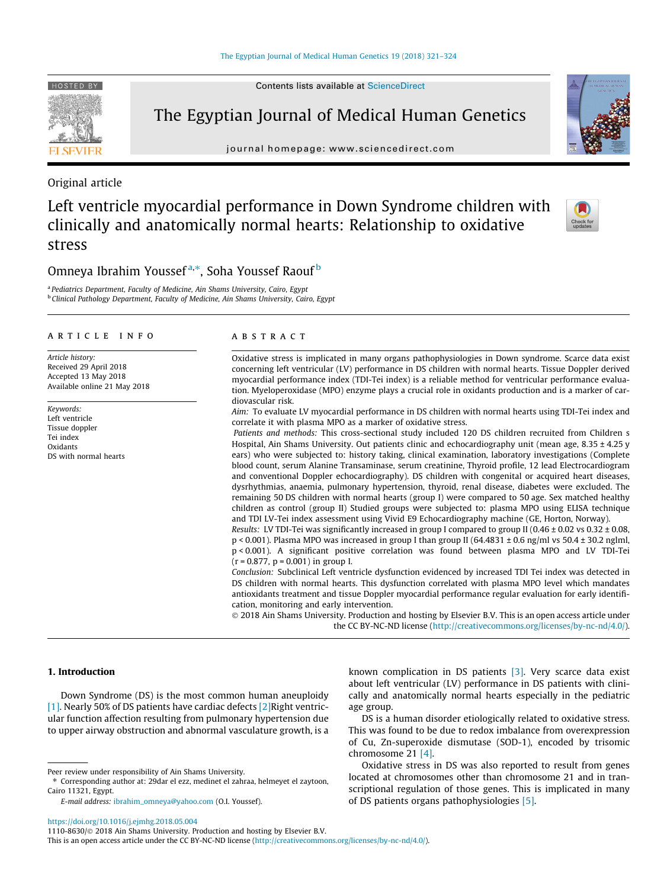<https://doi.org/10.1016/j.ejmhg.2018.05.004> 1110-8630/© 2018 Ain Shams University. Production and hosting by Elsevier B.V.

This is an open access article under the CC BY-NC-ND license ([http://creativecommons.org/licenses/by-nc-nd/4.0/\)](http://creativecommons.org/licenses/by-nc-nd/4.0/).

Contents lists available at [ScienceDirect](http://www.sciencedirect.com/science/journal/11108630)

# The Egyptian Journal of Medical Human Genetics

journal homepage: [www.sciencedirect.com](http://www.sciencedirect.com)

## Original article

# Left ventricle myocardial performance in Down Syndrome children with clinically and anatomically normal hearts: Relationship to oxidative stress

## Omneya Ibrahim Youssef<sup>a,</sup>\*, Soha Youssef Raouf <sup>b</sup>

<sup>a</sup> Pediatrics Department, Faculty of Medicine, Ain Shams University, Cairo, Egypt **b Clinical Pathology Department, Faculty of Medicine, Ain Shams University, Cairo, Egypt** 

## article info

Article history: Received 29 April 2018 Accepted 13 May 2018 Available online 21 May 2018

Keywords: Left ventricle Tissue doppler Tei index Oxidants DS with normal hearts

## **ABSTRACT**

Oxidative stress is implicated in many organs pathophysiologies in Down syndrome. Scarce data exist concerning left ventricular (LV) performance in DS children with normal hearts. Tissue Doppler derived myocardial performance index (TDI-Tei index) is a reliable method for ventricular performance evaluation. Myeloperoxidase (MPO) enzyme plays a crucial role in oxidants production and is a marker of cardiovascular risk.

Aim: To evaluate LV myocardial performance in DS children with normal hearts using TDI-Tei index and correlate it with plasma MPO as a marker of oxidative stress.

Patients and methods: This cross-sectional study included 120 DS children recruited from Children s Hospital, Ain Shams University. Out patients clinic and echocardiography unit (mean age,  $8.35 \pm 4.25$  y ears) who were subjected to: history taking, clinical examination, laboratory investigations (Complete blood count, serum Alanine Transaminase, serum creatinine, Thyroid profile, 12 lead Electrocardiogram and conventional Doppler echocardiography). DS children with congenital or acquired heart diseases, dysrhythmias, anaemia, pulmonary hypertension, thyroid, renal disease, diabetes were excluded. The remaining 50 DS children with normal hearts (group I) were compared to 50 age. Sex matched healthy children as control (group II) Studied groups were subjected to: plasma MPO using ELISA technique and TDI LV-Tei index assessment using Vivid E9 Echocardiography machine (GE, Horton, Norway).

Results: LV TDI-Tei was significantly increased in group I compared to group II (0.46  $\pm$  0.02 vs 0.32  $\pm$  0.08, p < 0.001). Plasma MPO was increased in group I than group II (64.4831 ± 0.6 ng/ml vs 50.4 ± 30.2 nglml, p < 0.001). A significant positive correlation was found between plasma MPO and LV TDI-Tei  $(r = 0.877, p = 0.001)$  in group I.

Conclusion: Subclinical Left ventricle dysfunction evidenced by increased TDI Tei index was detected in DS children with normal hearts. This dysfunction correlated with plasma MPO level which mandates antioxidants treatment and tissue Doppler myocardial performance regular evaluation for early identification, monitoring and early intervention.

 2018 Ain Shams University. Production and hosting by Elsevier B.V. This is an open access article under the CC BY-NC-ND license (<http://creativecommons.org/licenses/by-nc-nd/4.0/>).

## 1. Introduction

Down Syndrome (DS) is the most common human aneuploidy [\[1\]](#page-3-0). Nearly 50% of DS patients have cardiac defects [\[2\]](#page-3-0)Right ventricular function affection resulting from pulmonary hypertension due to upper airway obstruction and abnormal vasculature growth, is a known complication in DS patients [\[3\].](#page-3-0) Very scarce data exist about left ventricular (LV) performance in DS patients with clinically and anatomically normal hearts especially in the pediatric age group.

DS is a human disorder etiologically related to oxidative stress. This was found to be due to redox imbalance from overexpression of Cu, Zn-superoxide dismutase (SOD-1), encoded by trisomic chromosome 21 [\[4\]](#page-3-0).

Oxidative stress in DS was also reported to result from genes located at chromosomes other than chromosome 21 and in transcriptional regulation of those genes. This is implicated in many of DS patients organs pathophysiologies [\[5\]](#page-3-0).







Peer review under responsibility of Ain Shams University.

<sup>⇑</sup> Corresponding author at: 29dar el ezz, medinet el zahraa, helmeyet el zaytoon, Cairo 11321, Egypt. E-mail address: [ibrahim\\_omneya@yahoo.com](mailto:ibrahim_omneya@yahoo.com) (O.I. Youssef).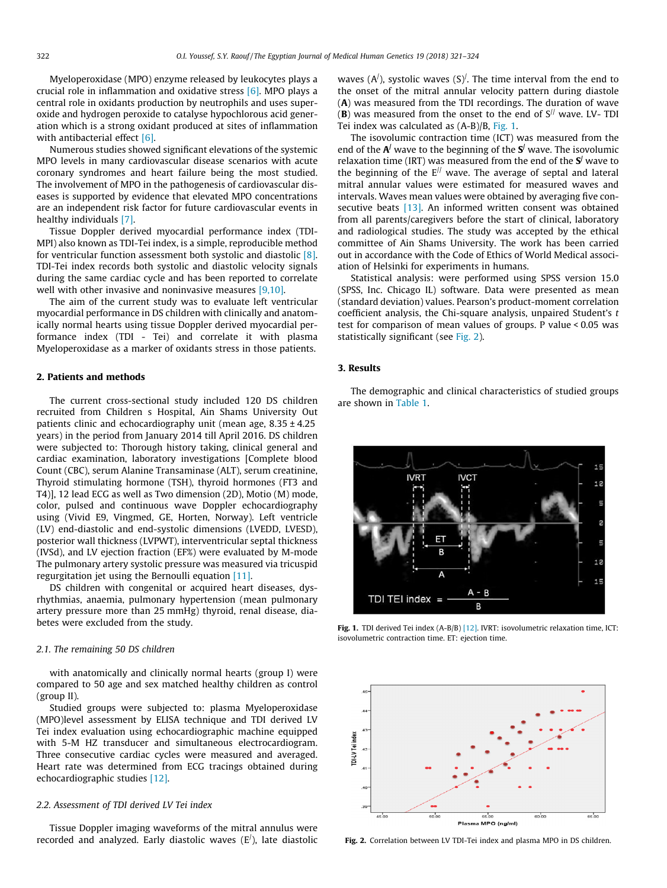Myeloperoxidase (MPO) enzyme released by leukocytes plays a crucial role in inflammation and oxidative stress [\[6\]](#page-3-0). MPO plays a central role in oxidants production by neutrophils and uses superoxide and hydrogen peroxide to catalyse hypochlorous acid generation which is a strong oxidant produced at sites of inflammation with antibacterial effect [\[6\]](#page-3-0).

Numerous studies showed significant elevations of the systemic MPO levels in many cardiovascular disease scenarios with acute coronary syndromes and heart failure being the most studied. The involvement of MPO in the pathogenesis of cardiovascular diseases is supported by evidence that elevated MPO concentrations are an independent risk factor for future cardiovascular events in healthy individuals [\[7\].](#page-3-0)

Tissue Doppler derived myocardial performance index (TDI-MPI) also known as TDI-Tei index, is a simple, reproducible method for ventricular function assessment both systolic and diastolic [\[8\].](#page-3-0) TDI-Tei index records both systolic and diastolic velocity signals during the same cardiac cycle and has been reported to correlate well with other invasive and noninvasive measures [\[9,10\]](#page-3-0).

The aim of the current study was to evaluate left ventricular myocardial performance in DS children with clinically and anatomically normal hearts using tissue Doppler derived myocardial performance index (TDI - Tei) and correlate it with plasma Myeloperoxidase as a marker of oxidants stress in those patients.

## 2. Patients and methods

The current cross-sectional study included 120 DS children recruited from Children s Hospital, Ain Shams University Out patients clinic and echocardiography unit (mean age, 8.35 ± 4.25 years) in the period from January 2014 till April 2016. DS children were subjected to: Thorough history taking, clinical general and cardiac examination, laboratory investigations [Complete blood Count (CBC), serum Alanine Transaminase (ALT), serum creatinine, Thyroid stimulating hormone (TSH), thyroid hormones (FT3 and T4)], 12 lead ECG as well as Two dimension (2D), Motio (M) mode, color, pulsed and continuous wave Doppler echocardiography using (Vivid E9, Vingmed, GE, Horten, Norway). Left ventricle (LV) end-diastolic and end-systolic dimensions (LVEDD, LVESD), posterior wall thickness (LVPWT), interventricular septal thickness (IVSd), and LV ejection fraction (EF%) were evaluated by M-mode The pulmonary artery systolic pressure was measured via tricuspid regurgitation jet using the Bernoulli equation [\[11\].](#page-3-0)

DS children with congenital or acquired heart diseases, dysrhythmias, anaemia, pulmonary hypertension (mean pulmonary artery pressure more than 25 mmHg) thyroid, renal disease, diabetes were excluded from the study.

## 2.1. The remaining 50 DS children

with anatomically and clinically normal hearts (group I) were compared to 50 age and sex matched healthy children as control (group II).

Studied groups were subjected to: plasma Myeloperoxidase (MPO)level assessment by ELISA technique and TDI derived LV Tei index evaluation using echocardiographic machine equipped with 5-M HZ transducer and simultaneous electrocardiogram. Three consecutive cardiac cycles were measured and averaged. Heart rate was determined from ECG tracings obtained during echocardiographic studies [\[12\].](#page-3-0)

## 2.2. Assessment of TDI derived LV Tei index

Tissue Doppler imaging waveforms of the mitral annulus were recorded and analyzed. Early diastolic waves  $(E')$ , late diastolic

waves  $(A<sup>j</sup>)$ , systolic waves  $(S)<sup>j</sup>$ . The time interval from the end to the onset of the mitral annular velocity pattern during diastole (A) was measured from the TDI recordings. The duration of wave (B) was measured from the onset to the end of  $S^{1/2}$  wave. LV- TDI Tei index was calculated as (A-B)/B, Fig. 1.

The isovolumic contraction time (ICT) was measured from the end of the  $A^{j}$  wave to the beginning of the  $S^{j}$  wave. The isovolumic relaxation time (IRT) was measured from the end of the  $S<sup>j</sup>$  wave to the beginning of the  $E^{1/2}$  wave. The average of septal and lateral mitral annular values were estimated for measured waves and intervals. Waves mean values were obtained by averaging five con-secutive beats [\[13\]](#page-3-0). An informed written consent was obtained from all parents/caregivers before the start of clinical, laboratory and radiological studies. The study was accepted by the ethical committee of Ain Shams University. The work has been carried out in accordance with the Code of Ethics of World Medical association of Helsinki for experiments in humans.

Statistical analysis: were performed using SPSS version 15.0 (SPSS, Inc. Chicago IL) software. Data were presented as mean (standard deviation) values. Pearson's product-moment correlation coefficient analysis, the Chi-square analysis, unpaired Student's t test for comparison of mean values of groups. P value < 0.05 was statistically significant (see Fig. 2).

## 3. Results

The demographic and clinical characteristics of studied groups are shown in [Table 1.](#page-2-0)



Fig. 1. TDI derived Tei index (A-B/B) [\[12\]](#page-3-0). IVRT: isovolumetric relaxation time, ICT: isovolumetric contraction time. ET: ejection time.



Fig. 2. Correlation between LV TDI-Tei index and plasma MPO in DS children.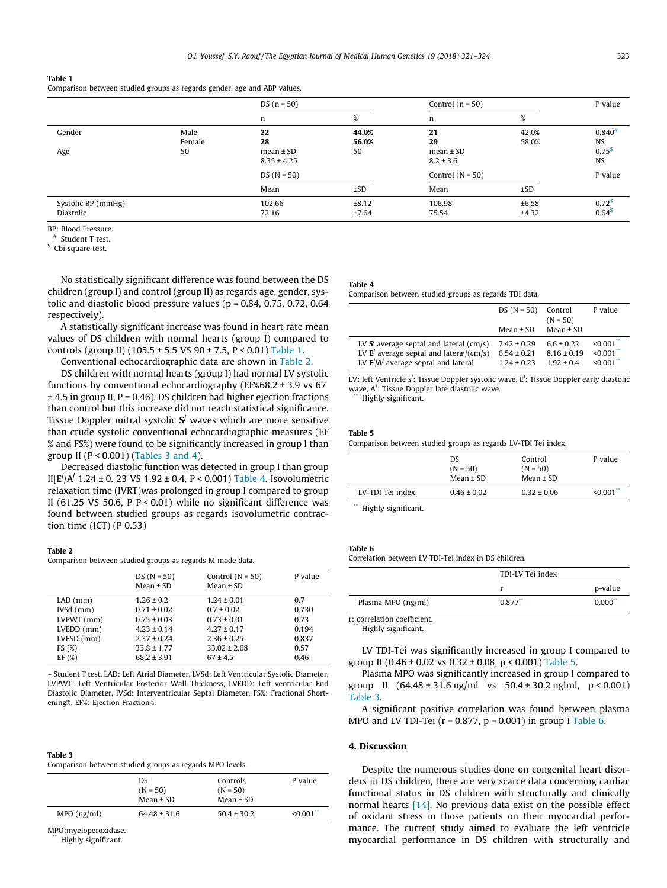#### <span id="page-2-0"></span>Table 1

Comparison between studied groups as regards gender, age and ABP values.

|                                 |                      | $DS (n = 50)$                                |                      | Control $(n = 50)$                         |                | P value                                   |
|---------------------------------|----------------------|----------------------------------------------|----------------------|--------------------------------------------|----------------|-------------------------------------------|
|                                 |                      | n                                            | $\%$                 | n                                          | %              |                                           |
| Gender<br>Age                   | Male<br>Female<br>50 | 22<br>28<br>$mean \pm SD$<br>$8.35 \pm 4.25$ | 44.0%<br>56.0%<br>50 | 21<br>29<br>$mean \pm SD$<br>$8.2 \pm 3.6$ | 42.0%<br>58.0% | $0.840*$<br>NS<br>$0.75^{s}$<br><b>NS</b> |
|                                 |                      | $DS (N = 50)$                                |                      | Control $(N = 50)$                         |                | P value                                   |
|                                 |                      | Mean                                         | ±SD                  | Mean                                       | ±SD            |                                           |
| Systolic BP (mmHg)<br>Diastolic |                      | 102.66<br>72.16                              | ±8.12<br>±7.64       | 106.98<br>75.54                            | ±6.58<br>±4.32 | $0.72^{s}$<br>0.64 <sup>s</sup>           |

BP: Blood Pressure.

# Student T test.

<sup>\$</sup> Cbi square test.

No statistically significant difference was found between the DS children (group I) and control (group II) as regards age, gender, systolic and diastolic blood pressure values ( $p = 0.84$ , 0.75, 0.72, 0.64 respectively).

A statistically significant increase was found in heart rate mean values of DS children with normal hearts (group I) compared to controls (group II) (105.5 ± 5.5 VS  $90 \pm 7.5$ , P < 0.01) Table 1.

Conventional echocardiographic data are shown in Table 2.

DS children with normal hearts (group I) had normal LV systolic functions by conventional echocardiography (EF%68.2  $\pm$  3.9 vs 67  $\pm$  4.5 in group II, P = 0.46). DS children had higher ejection fractions than control but this increase did not reach statistical significance. Tissue Doppler mitral systolic  $S<sup>j</sup>$  waves which are more sensitive than crude systolic conventional echocardiographic measures (EF % and FS%) were found to be significantly increased in group I than group II ( $P < 0.001$ ) (Tables 3 and 4).

Decreased diastolic function was detected in group I than group II[E/ /A/ 1.24 ± 0. 23 VS 1.92 ± 0.4, P < 0.001) Table 4. Isovolumetric relaxation time (IVRT)was prolonged in group I compared to group II (61.25 VS 50.6, P  $P < 0.01$ ) while no significant difference was found between studied groups as regards isovolumetric contraction time (ICT) (P 0.53)

## Table 2

Comparison between studied groups as regards M mode data.

|                  | $DS(N = 50)$<br>Mean $\pm$ SD | Control $(N = 50)$<br>Mean $\pm$ SD | P value |
|------------------|-------------------------------|-------------------------------------|---------|
| $LAD$ (mm)       | $1.26 \pm 0.2$                | $1.24 \pm 0.01$                     | 0.7     |
| $IVSd$ ( $mm$ )  | $0.71 \pm 0.02$               | $0.7 \pm 0.02$                      | 0.730   |
| $LVPWT$ (mm)     | $0.75 \pm 0.03$               | $0.73 \pm 0.01$                     | 0.73    |
| $LVEDD$ ( $mm$ ) | $4.23 \pm 0.14$               | $4.27 \pm 0.17$                     | 0.194   |
| $LVESD$ ( $mm$ ) | $2.37 \pm 0.24$               | $2.36 \pm 0.25$                     | 0.837   |
| FS(%)            | $33.8 \pm 1.77$               | $33.02 \pm 2.08$                    | 0.57    |
| EF(%)            | $68.2 \pm 3.91$               | $67 \pm 4.5$                        | 0.46    |
|                  |                               |                                     |         |

– Student T test. LAD: Left Atrial Diameter, LVSd: Left Ventricular Systolic Diameter, LVPWT: Left Ventricular Posterior Wall Thickness, LVEDD: Left ventricular End Diastolic Diameter, IVSd: Interventricular Septal Diameter, FS%: Fractional Shortening%, EF%: Ejection Fraction%.

## Table 3

Comparison between studied groups as regards MPO levels.

|               | DS.<br>$(N = 50)$<br>Mean $\pm$ SD | Controls<br>$(N = 50)$<br>Mean $\pm$ SD | P value                 |
|---------------|------------------------------------|-----------------------------------------|-------------------------|
| $MPO$ (ng/ml) | $64.48 \pm 31.6$                   | $50.4 \pm 30.2$                         | $< 0.001$ <sup>**</sup> |

MPO:myeloperoxidase.

Highly significant.

#### Table 4

Comparison between studied groups as regards TDI data.

|                                                            | $DS (N = 50)$<br>Mean $\pm$ SD | Control<br>$(N = 50)$<br>Mean $\pm$ SD | P value                |
|------------------------------------------------------------|--------------------------------|----------------------------------------|------------------------|
| LV $\mathbf{S}'$ average septal and lateral (cm/s)         | $7.42 \pm 0.29$                | $6.6 \pm 0.22$                         | < 0.001                |
| LV $\mathbf{E}^{\prime}$ average septal and latera//(cm/s) | $6.54 \pm 0.21$                | $8.16 \pm 0.19$                        | $\leq 0.001$           |
| LV $E'/A'$ average septal and lateral                      | $1.24 \pm 0.23$                | $1.92 \pm 0.4$                         | $< 0.001$ <sup>*</sup> |

LV: left Ventricle s<sup>/</sup>: Tissue Doppler systolic wave, E<sup>/</sup>: Tissue Doppler early diastolic wave, A/ : Tissue Doppler late diastolic wave.

Highly significant.

#### Table 5

Comparison between studied groups as regards LV-TDI Tei index.

|                  | DS.<br>$(N = 50)$<br>Mean $\pm$ SD | Control<br>$(N = 50)$<br>Mean $\pm$ SD | P value      |
|------------------|------------------------------------|----------------------------------------|--------------|
| LV-TDI Tei index | $0.46 \pm 0.02$                    | $0.32 \pm 0.06$                        | $\leq 0.001$ |

Highly significant.

Table 6

Correlation between LV TDI-Tei index in DS children.

|                    | TDI-LV Tei index |         |
|--------------------|------------------|---------|
|                    |                  | p-value |
| Plasma MPO (ng/ml) | 0.877            | 0.000"  |

r: correlation coefficient.

Highly significant.

LV TDI-Tei was significantly increased in group I compared to group II (0.46 ± 0.02 vs 0.32 ± 0.08, p < 0.001) Table 5.

Plasma MPO was significantly increased in group I compared to group II  $(64.48 \pm 31.6 \text{ ng/ml} \text{ vs } 50.4 \pm 30.2 \text{ ng/ml}, p < 0.001)$ Table 3.

A significant positive correlation was found between plasma MPO and LV TDI-Tei ( $r = 0.877$ ,  $p = 0.001$ ) in group I Table 6.

## 4. Discussion

Despite the numerous studies done on congenital heart disorders in DS children, there are very scarce data concerning cardiac functional status in DS children with structurally and clinically normal hearts [\[14\]](#page-3-0). No previous data exist on the possible effect of oxidant stress in those patients on their myocardial performance. The current study aimed to evaluate the left ventricle myocardial performance in DS children with structurally and